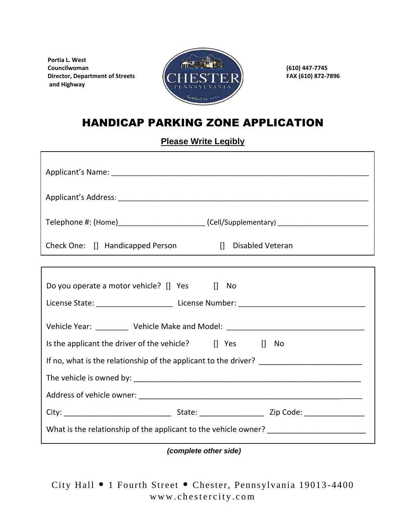**Portia L. West and Highway**



## HANDICAP PARKING ZONE APPLICATION

**Please Write Legibly**

|                                                          | Telephone #: (Home)_________________________(Cell/Supplementary) ________________ |
|----------------------------------------------------------|-----------------------------------------------------------------------------------|
| Check One: [] Handicapped Person                         | [] Disabled Veteran                                                               |
|                                                          |                                                                                   |
| Do you operate a motor vehicle? [] Yes [] No             |                                                                                   |
|                                                          | Vehicle Year: ___________ Vehicle Make and Model: ______________________________  |
| Is the applicant the driver of the vehicle? [] Yes [] No |                                                                                   |
|                                                          |                                                                                   |
|                                                          |                                                                                   |
|                                                          |                                                                                   |
|                                                          |                                                                                   |
|                                                          |                                                                                   |

*(complete other side)*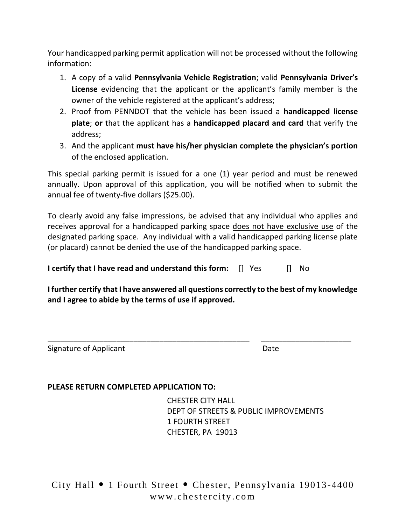Your handicapped parking permit application will not be processed without the following information:

- 1. A copy of a valid **Pennsylvania Vehicle Registration**; valid **Pennsylvania Driver's License** evidencing that the applicant or the applicant's family member is the owner of the vehicle registered at the applicant's address;
- 2. Proof from PENNDOT that the vehicle has been issued a **handicapped license plate**; **or** that the applicant has a **handicapped placard and card** that verify the address;
- 3. And the applicant **must have his/her physician complete the physician's portion** of the enclosed application.

This special parking permit is issued for a one (1) year period and must be renewed annually. Upon approval of this application, you will be notified when to submit the annual fee of twenty-five dollars (\$25.00).

To clearly avoid any false impressions, be advised that any individual who applies and receives approval for a handicapped parking space does not have exclusive use of the designated parking space. Any individual with a valid handicapped parking license plate (or placard) cannot be denied the use of the handicapped parking space.

**I certify that I have read and understand this form:** [] Yes [] No

**I further certify that I have answered all questions correctly to the best of my knowledge and I agree to abide by the terms of use if approved.** 

\_\_\_\_\_\_\_\_\_\_\_\_\_\_\_\_\_\_\_\_\_\_\_\_\_\_\_\_\_\_\_\_\_\_\_\_\_\_\_\_\_\_\_\_\_\_\_ \_\_\_\_\_\_\_\_\_\_\_\_\_\_\_\_\_\_\_\_\_

Signature of Applicant Date Date Date

#### **PLEASE RETURN COMPLETED APPLICATION TO:**

CHESTER CITY HALL DEPT OF STREETS & PUBLIC IMPROVEMENTS 1 FOURTH STREET CHESTER, PA 19013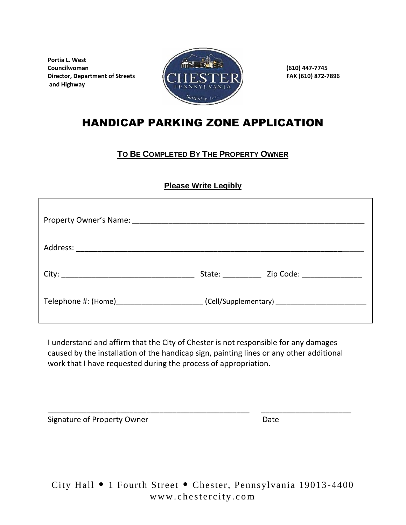**Portia L. West and Highway**



# HANDICAP PARKING ZONE APPLICATION

### **TO BE COMPLETED BY THE PROPERTY OWNER**

### **Please Write Legibly**

| State: _____________ Zip Code: ________________                                  |
|----------------------------------------------------------------------------------|
| Telephone #: (Home)______________________(Cell/Supplementary) __________________ |

I understand and affirm that the City of Chester is not responsible for any damages caused by the installation of the handicap sign, painting lines or any other additional work that I have requested during the process of appropriation.

\_\_\_\_\_\_\_\_\_\_\_\_\_\_\_\_\_\_\_\_\_\_\_\_\_\_\_\_\_\_\_\_\_\_\_\_\_\_\_\_\_\_\_\_\_\_\_ \_\_\_\_\_\_\_\_\_\_\_\_\_\_\_\_\_\_\_\_\_

Signature of Property Owner **Date**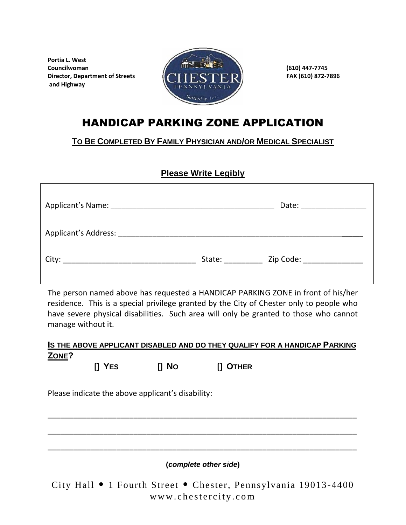**Portia L. West and Highway**



# HANDICAP PARKING ZONE APPLICATION

**TO BE COMPLETED BY FAMILY PHYSICIAN AND/OR MEDICAL SPECIALIST**

### **Please Write Legibly**

|                                                             |                                                                                                                                                                                                                                | Date: ________________                                                                                        |
|-------------------------------------------------------------|--------------------------------------------------------------------------------------------------------------------------------------------------------------------------------------------------------------------------------|---------------------------------------------------------------------------------------------------------------|
| Applicant's Address: Management of the Applicant's Address: |                                                                                                                                                                                                                                |                                                                                                               |
|                                                             | State: and the state of the state of the state of the state of the state of the state of the state of the state of the state of the state of the state of the state of the state of the state of the state of the state of the | Zip Code: The Code Service of the Code Service of the Code Service of the Code Service of the Code Service of |

The person named above has requested a HANDICAP PARKING ZONE in front of his/her residence. This is a special privilege granted by the City of Chester only to people who have severe physical disabilities. Such area will only be granted to those who cannot manage without it.

#### **IS THE ABOVE APPLICANT DISABLED AND DO THEY QUALIFY FOR A HANDICAP PARKING ZONE?**

 **[] YES [] NO [] OTHER**

Please indicate the above applicant's disability:

**(***complete other side***)**

\_\_\_\_\_\_\_\_\_\_\_\_\_\_\_\_\_\_\_\_\_\_\_\_\_\_\_\_\_\_\_\_\_\_\_\_\_\_\_\_\_\_\_\_\_\_\_\_\_\_\_\_\_\_\_\_\_\_\_\_\_\_\_\_\_\_\_\_\_\_\_\_

\_\_\_\_\_\_\_\_\_\_\_\_\_\_\_\_\_\_\_\_\_\_\_\_\_\_\_\_\_\_\_\_\_\_\_\_\_\_\_\_\_\_\_\_\_\_\_\_\_\_\_\_\_\_\_\_\_\_\_\_\_\_\_\_\_\_\_\_\_\_\_\_

\_\_\_\_\_\_\_\_\_\_\_\_\_\_\_\_\_\_\_\_\_\_\_\_\_\_\_\_\_\_\_\_\_\_\_\_\_\_\_\_\_\_\_\_\_\_\_\_\_\_\_\_\_\_\_\_\_\_\_\_\_\_\_\_\_\_\_\_\_\_\_\_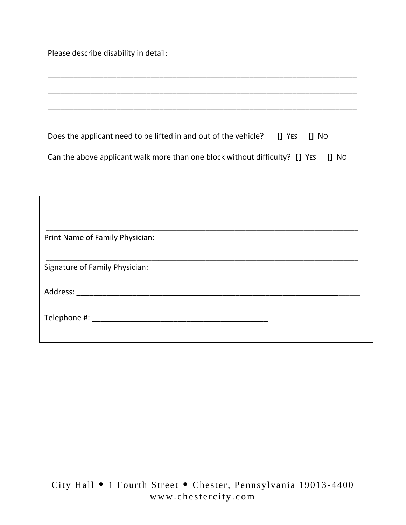Please describe disability in detail:

 $\mathbf{I}$ 

| Does the applicant need to be lifted in and out of the vehicle? [] YES [] No      |  |  |
|-----------------------------------------------------------------------------------|--|--|
| Can the above applicant walk more than one block without difficulty? [] YES [] NO |  |  |

\_\_\_\_\_\_\_\_\_\_\_\_\_\_\_\_\_\_\_\_\_\_\_\_\_\_\_\_\_\_\_\_\_\_\_\_\_\_\_\_\_\_\_\_\_\_\_\_\_\_\_\_\_\_\_\_\_\_\_\_\_\_\_\_\_\_\_\_\_\_\_\_

\_\_\_\_\_\_\_\_\_\_\_\_\_\_\_\_\_\_\_\_\_\_\_\_\_\_\_\_\_\_\_\_\_\_\_\_\_\_\_\_\_\_\_\_\_\_\_\_\_\_\_\_\_\_\_\_\_\_\_\_\_\_\_\_\_\_\_\_\_\_\_\_

\_\_\_\_\_\_\_\_\_\_\_\_\_\_\_\_\_\_\_\_\_\_\_\_\_\_\_\_\_\_\_\_\_\_\_\_\_\_\_\_\_\_\_\_\_\_\_\_\_\_\_\_\_\_\_\_\_\_\_\_\_\_\_\_\_\_\_\_\_\_\_\_

| Print Name of Family Physician: |  |
|---------------------------------|--|
|                                 |  |
| Signature of Family Physician:  |  |
|                                 |  |
|                                 |  |
|                                 |  |